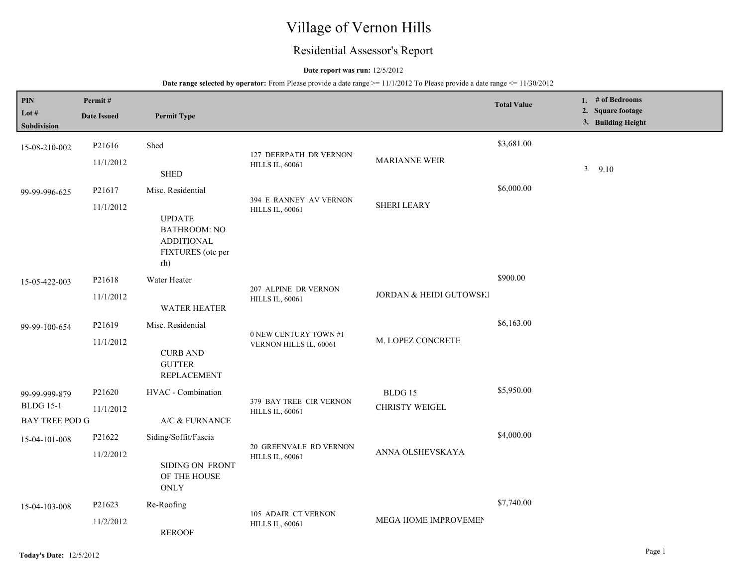# Village of Vernon Hills

## Residential Assessor's Report

## **Date report was run:** 12/5/2012

| <b>PIN</b><br>Lot $#$<br>Subdivision                | Permit#<br><b>Date Issued</b> | <b>Permit Type</b>                                                                                         |                                                   |                                  | <b>Total Value</b> | 1. # of Bedrooms<br>2. Square footage<br>3. Building Height |
|-----------------------------------------------------|-------------------------------|------------------------------------------------------------------------------------------------------------|---------------------------------------------------|----------------------------------|--------------------|-------------------------------------------------------------|
| 15-08-210-002                                       | P21616<br>11/1/2012           | Shed<br><b>SHED</b>                                                                                        | 127 DEERPATH DR VERNON<br><b>HILLS IL, 60061</b>  | MARIANNE WEIR                    | \$3,681.00         | 3.9.10                                                      |
| 99-99-996-625                                       | P21617<br>11/1/2012           | Misc. Residential<br><b>UPDATE</b><br><b>BATHROOM: NO</b><br><b>ADDITIONAL</b><br>FIXTURES (otc per<br>rh) | 394 E RANNEY AV VERNON<br><b>HILLS IL, 60061</b>  | <b>SHERI LEARY</b>               | \$6,000.00         |                                                             |
| 15-05-422-003                                       | P21618<br>11/1/2012           | Water Heater<br><b>WATER HEATER</b>                                                                        | 207 ALPINE DR VERNON<br><b>HILLS IL, 60061</b>    | JORDAN & HEIDI GUTOWSKI          | \$900.00           |                                                             |
| 99-99-100-654                                       | P21619<br>11/1/2012           | Misc. Residential<br><b>CURB AND</b><br><b>GUTTER</b><br><b>REPLACEMENT</b>                                | 0 NEW CENTURY TOWN #1<br>VERNON HILLS IL, 60061   | M. LOPEZ CONCRETE                | \$6,163.00         |                                                             |
| 99-99-999-879<br><b>BLDG 15-1</b><br>BAY TREE POD G | P21620<br>11/1/2012           | HVAC - Combination<br>A/C & FURNANCE                                                                       | 379 BAY TREE CIR VERNON<br><b>HILLS IL, 60061</b> | BLDG 15<br><b>CHRISTY WEIGEL</b> | \$5,950.00         |                                                             |
| 15-04-101-008                                       | P21622<br>11/2/2012           | Siding/Soffit/Fascia<br>SIDING ON FRONT<br>OF THE HOUSE<br>ONLY                                            | 20 GREENVALE RD VERNON<br>HILLS IL, 60061         | ANNA OLSHEVSKAYA                 | \$4,000.00         |                                                             |
| 15-04-103-008                                       | P21623<br>11/2/2012           | Re-Roofing<br><b>REROOF</b>                                                                                | 105 ADAIR CT VERNON<br><b>HILLS IL, 60061</b>     | MEGA HOME IMPROVEMEN             | \$7,740.00         |                                                             |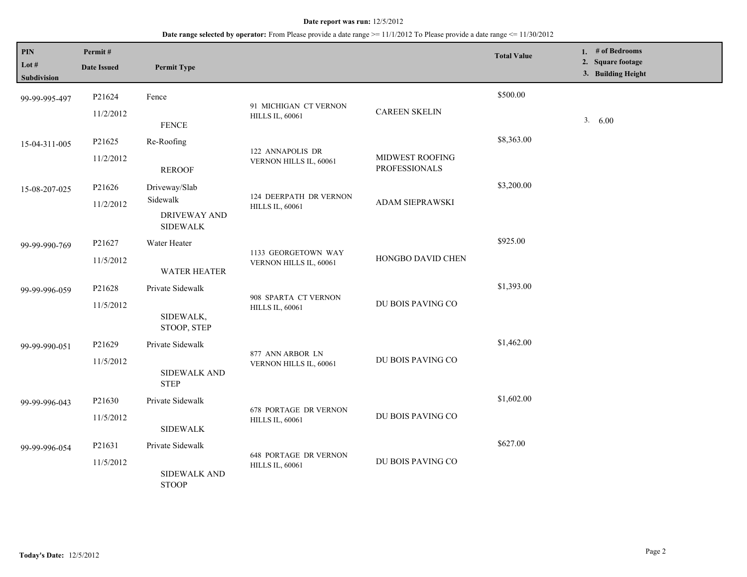| PIN<br>Lot #<br>Subdivision | Permit#<br><b>Date Issued</b> | <b>Permit Type</b>                                                  |                                                        |                                         | <b>Total Value</b> | 1. # of Bedrooms<br>2. Square footage<br>3. Building Height |
|-----------------------------|-------------------------------|---------------------------------------------------------------------|--------------------------------------------------------|-----------------------------------------|--------------------|-------------------------------------------------------------|
| 99-99-995-497               | P21624<br>11/2/2012           | Fence<br><b>FENCE</b>                                               | 91 MICHIGAN CT VERNON<br><b>HILLS IL, 60061</b>        | <b>CAREEN SKELIN</b>                    | \$500.00           | 3. 6.00                                                     |
| 15-04-311-005               | P21625<br>11/2/2012           | Re-Roofing<br><b>REROOF</b>                                         | 122 ANNAPOLIS DR<br>VERNON HILLS IL, 60061             | MIDWEST ROOFING<br><b>PROFESSIONALS</b> | \$8,363.00         |                                                             |
| 15-08-207-025               | P21626<br>11/2/2012           | Driveway/Slab<br>Sidewalk<br><b>DRIVEWAY AND</b><br><b>SIDEWALK</b> | 124 DEERPATH DR VERNON<br><b>HILLS IL, 60061</b>       | ADAM SIEPRAWSKI                         | \$3,200.00         |                                                             |
| 99-99-990-769               | P21627<br>11/5/2012           | Water Heater<br><b>WATER HEATER</b>                                 | 1133 GEORGETOWN WAY<br>VERNON HILLS IL, 60061          | HONGBO DAVID CHEN                       | \$925.00           |                                                             |
| 99-99-996-059               | P21628<br>11/5/2012           | Private Sidewalk<br>SIDEWALK,<br>STOOP, STEP                        | 908 SPARTA CT VERNON<br><b>HILLS IL, 60061</b>         | DU BOIS PAVING CO                       | \$1,393.00         |                                                             |
| 99-99-990-051               | P21629<br>11/5/2012           | Private Sidewalk<br>SIDEWALK AND<br><b>STEP</b>                     | 877 ANN ARBOR LN<br>VERNON HILLS IL, 60061             | DU BOIS PAVING CO                       | \$1,462.00         |                                                             |
| 99-99-996-043               | P21630<br>11/5/2012           | Private Sidewalk<br><b>SIDEWALK</b>                                 | <b>678 PORTAGE DR VERNON</b><br><b>HILLS IL, 60061</b> | DU BOIS PAVING CO                       | \$1,602.00         |                                                             |
| 99-99-996-054               | P21631<br>11/5/2012           | Private Sidewalk<br>SIDEWALK AND<br><b>STOOP</b>                    | <b>648 PORTAGE DR VERNON</b><br><b>HILLS IL, 60061</b> | DU BOIS PAVING CO                       | \$627.00           |                                                             |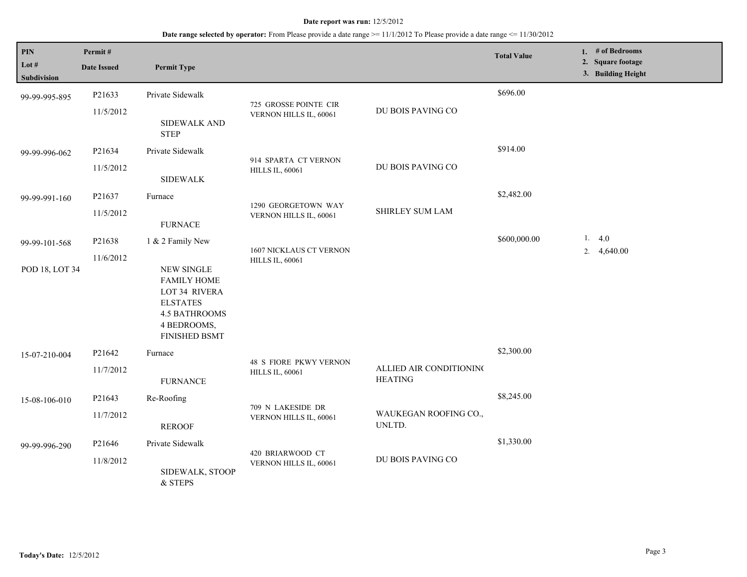| <b>PIN</b><br>Lot $#$ | Permit#<br><b>Date Issued</b> | <b>Permit Type</b>                                                                                                                         |                                                         |                                           | <b>Total Value</b> | 1. # of Bedrooms<br>2. Square footage<br>3. Building Height |
|-----------------------|-------------------------------|--------------------------------------------------------------------------------------------------------------------------------------------|---------------------------------------------------------|-------------------------------------------|--------------------|-------------------------------------------------------------|
| Subdivision           |                               |                                                                                                                                            |                                                         |                                           |                    |                                                             |
| 99-99-995-895         | P21633                        | Private Sidewalk                                                                                                                           | 725 GROSSE POINTE CIR                                   | DU BOIS PAVING CO                         | \$696.00           |                                                             |
|                       | 11/5/2012                     | <b>SIDEWALK AND</b><br><b>STEP</b>                                                                                                         | VERNON HILLS IL, 60061                                  |                                           |                    |                                                             |
| 99-99-996-062         | P21634                        | Private Sidewalk                                                                                                                           | 914 SPARTA CT VERNON                                    |                                           | \$914.00           |                                                             |
|                       | 11/5/2012                     | <b>SIDEWALK</b>                                                                                                                            | <b>HILLS IL, 60061</b>                                  | DU BOIS PAVING CO                         |                    |                                                             |
| 99-99-991-160         | P21637                        | Furnace                                                                                                                                    |                                                         |                                           | \$2,482.00         |                                                             |
|                       | 11/5/2012                     | <b>FURNACE</b>                                                                                                                             | 1290 GEORGETOWN WAY<br>VERNON HILLS IL, 60061           | <b>SHIRLEY SUM LAM</b>                    |                    |                                                             |
| 99-99-101-568         | P21638                        | 1 & 2 Family New                                                                                                                           |                                                         |                                           | \$600,000.00       | 1.4.0                                                       |
| POD 18, LOT 34        | 11/6/2012                     | <b>NEW SINGLE</b><br><b>FAMILY HOME</b><br>LOT 34 RIVERA<br><b>ELSTATES</b><br><b>4.5 BATHROOMS</b><br>4 BEDROOMS,<br><b>FINISHED BSMT</b> | 1607 NICKLAUS CT VERNON<br><b>HILLS IL, 60061</b>       |                                           |                    | 2. $4,640.00$                                               |
| 15-07-210-004         | P21642<br>11/7/2012           | Furnace<br><b>FURNANCE</b>                                                                                                                 | <b>48 S FIORE PKWY VERNON</b><br><b>HILLS IL, 60061</b> | ALLIED AIR CONDITIONING<br><b>HEATING</b> | \$2,300.00         |                                                             |
| 15-08-106-010         | P21643                        | Re-Roofing                                                                                                                                 |                                                         |                                           | \$8,245.00         |                                                             |
|                       | 11/7/2012                     | <b>REROOF</b>                                                                                                                              | 709 N LAKESIDE DR<br>VERNON HILLS IL, 60061             | WAUKEGAN ROOFING CO.,<br>UNLTD.           |                    |                                                             |
| 99-99-996-290         | P21646                        | Private Sidewalk                                                                                                                           |                                                         |                                           | \$1,330.00         |                                                             |
|                       | 11/8/2012                     | SIDEWALK, STOOP<br>& STEPS                                                                                                                 | 420 BRIARWOOD CT<br>VERNON HILLS IL, 60061              | DU BOIS PAVING CO                         |                    |                                                             |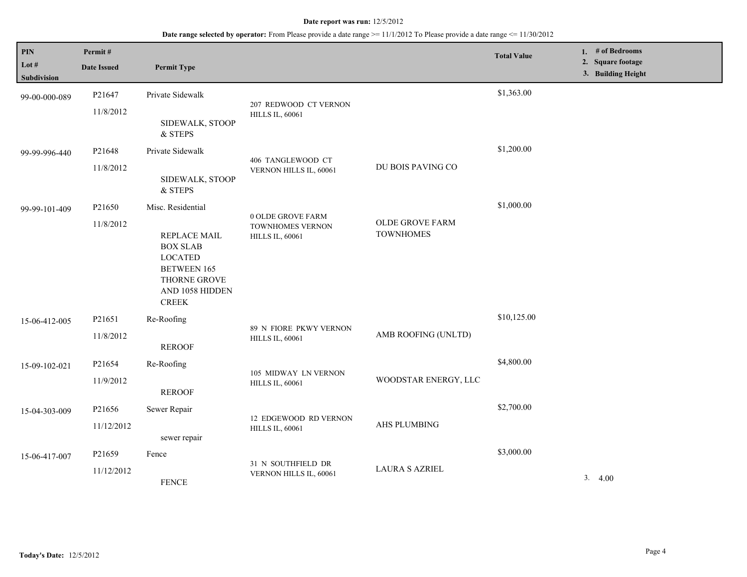| PIN<br>Lot $#$<br>Subdivision | Permit#<br><b>Date Issued</b> | <b>Permit Type</b>                                                                                                                                     |                                                                 |                                            | <b>Total Value</b> | 1. $#$ of Bedrooms<br>2. Square footage<br>3. Building Height |
|-------------------------------|-------------------------------|--------------------------------------------------------------------------------------------------------------------------------------------------------|-----------------------------------------------------------------|--------------------------------------------|--------------------|---------------------------------------------------------------|
| 99-00-000-089                 | P21647<br>11/8/2012           | Private Sidewalk<br>SIDEWALK, STOOP<br>& STEPS                                                                                                         | 207 REDWOOD CT VERNON<br><b>HILLS IL, 60061</b>                 |                                            | \$1,363.00         |                                                               |
| 99-99-996-440                 | P21648<br>11/8/2012           | Private Sidewalk<br>SIDEWALK, STOOP<br>& STEPS                                                                                                         | 406 TANGLEWOOD CT<br>VERNON HILLS IL, 60061                     | DU BOIS PAVING CO                          | \$1,200.00         |                                                               |
| 99-99-101-409                 | P21650<br>11/8/2012           | Misc. Residential<br><b>REPLACE MAIL</b><br><b>BOX SLAB</b><br><b>LOCATED</b><br><b>BETWEEN 165</b><br>THORNE GROVE<br>AND 1058 HIDDEN<br><b>CREEK</b> | 0 OLDE GROVE FARM<br>TOWNHOMES VERNON<br><b>HILLS IL, 60061</b> | <b>OLDE GROVE FARM</b><br><b>TOWNHOMES</b> | \$1,000.00         |                                                               |
| 15-06-412-005                 | P21651<br>11/8/2012           | Re-Roofing<br><b>REROOF</b>                                                                                                                            | 89 N FIORE PKWY VERNON<br><b>HILLS IL, 60061</b>                | AMB ROOFING (UNLTD)                        | \$10,125.00        |                                                               |
| 15-09-102-021                 | P21654<br>11/9/2012           | Re-Roofing<br><b>REROOF</b>                                                                                                                            | 105 MIDWAY LN VERNON<br><b>HILLS IL, 60061</b>                  | WOODSTAR ENERGY, LLC                       | \$4,800.00         |                                                               |
| 15-04-303-009                 | P21656<br>11/12/2012          | Sewer Repair<br>sewer repair                                                                                                                           | 12 EDGEWOOD RD VERNON<br><b>HILLS IL, 60061</b>                 | AHS PLUMBING                               | \$2,700.00         |                                                               |
| 15-06-417-007                 | P21659<br>11/12/2012          | Fence<br><b>FENCE</b>                                                                                                                                  | 31 N SOUTHFIELD DR<br>VERNON HILLS IL, 60061                    | <b>LAURA S AZRIEL</b>                      | \$3,000.00         | 3.4.00                                                        |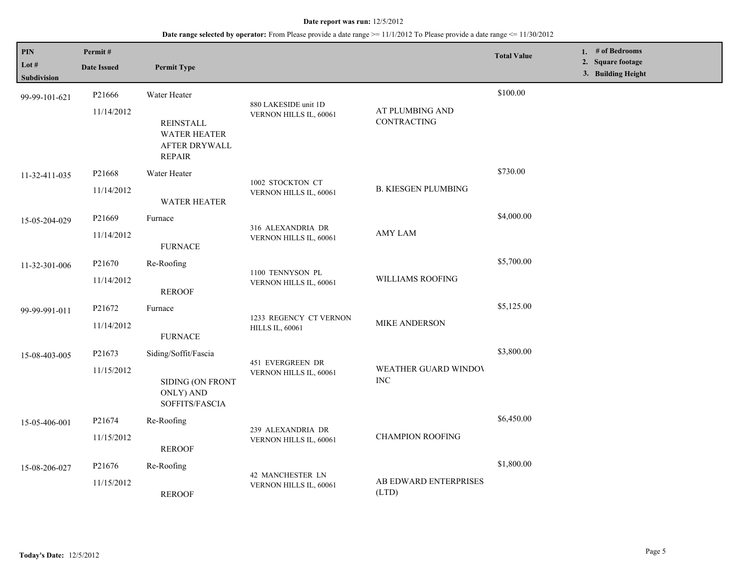| PIN<br>Lot #<br>Subdivision | Permit#<br><b>Date Issued</b> | <b>Permit Type</b>                                    |                                                  |                                                  | <b>Total Value</b> | 1. # of Bedrooms<br>2. Square footage<br>3. Building Height |
|-----------------------------|-------------------------------|-------------------------------------------------------|--------------------------------------------------|--------------------------------------------------|--------------------|-------------------------------------------------------------|
| 99-99-101-621               | P21666<br>11/14/2012          | Water Heater<br><b>REINSTALL</b>                      | 880 LAKESIDE unit 1D<br>VERNON HILLS IL, 60061   | AT PLUMBING AND<br>CONTRACTING                   | \$100.00           |                                                             |
|                             |                               | <b>WATER HEATER</b><br>AFTER DRYWALL<br><b>REPAIR</b> |                                                  |                                                  |                    |                                                             |
| 11-32-411-035               | P21668                        | Water Heater                                          |                                                  |                                                  | \$730.00           |                                                             |
|                             | 11/14/2012                    | <b>WATER HEATER</b>                                   | 1002 STOCKTON CT<br>VERNON HILLS IL, 60061       | <b>B. KIESGEN PLUMBING</b>                       |                    |                                                             |
| 15-05-204-029               | P21669                        | Furnace                                               | 316 ALEXANDRIA DR<br>VERNON HILLS IL, 60061      | <b>AMY LAM</b>                                   | \$4,000.00         |                                                             |
|                             | 11/14/2012                    | <b>FURNACE</b>                                        |                                                  |                                                  |                    |                                                             |
| 11-32-301-006               | P21670                        | Re-Roofing                                            | 1100 TENNYSON PL<br>VERNON HILLS IL, 60061       | WILLIAMS ROOFING                                 | \$5,700.00         |                                                             |
|                             | 11/14/2012                    | <b>REROOF</b>                                         |                                                  |                                                  |                    |                                                             |
| 99-99-991-011               | P21672                        | Furnace                                               | 1233 REGENCY CT VERNON<br><b>HILLS IL, 60061</b> | MIKE ANDERSON                                    | \$5,125.00         |                                                             |
|                             | 11/14/2012                    | <b>FURNACE</b>                                        |                                                  |                                                  |                    |                                                             |
| 15-08-403-005               | P21673                        | Siding/Soffit/Fascia                                  | 451 EVERGREEN DR                                 | \$3,800.00<br>WEATHER GUARD WINDOV<br><b>INC</b> |                    |                                                             |
|                             | 11/15/2012                    | SIDING (ON FRONT<br>ONLY) AND<br>SOFFITS/FASCIA       | VERNON HILLS IL, 60061                           |                                                  |                    |                                                             |
| 15-05-406-001               | P21674                        | Re-Roofing                                            |                                                  |                                                  | \$6,450.00         |                                                             |
|                             | 11/15/2012                    | <b>REROOF</b>                                         | 239 ALEXANDRIA DR<br>VERNON HILLS IL, 60061      | <b>CHAMPION ROOFING</b>                          |                    |                                                             |
| 15-08-206-027               | P21676                        | Re-Roofing                                            | 42 MANCHESTER LN                                 |                                                  | \$1,800.00         |                                                             |
|                             | 11/15/2012                    | <b>REROOF</b>                                         | VERNON HILLS IL, 60061                           | AB EDWARD ENTERPRISES<br>(LTD)                   |                    |                                                             |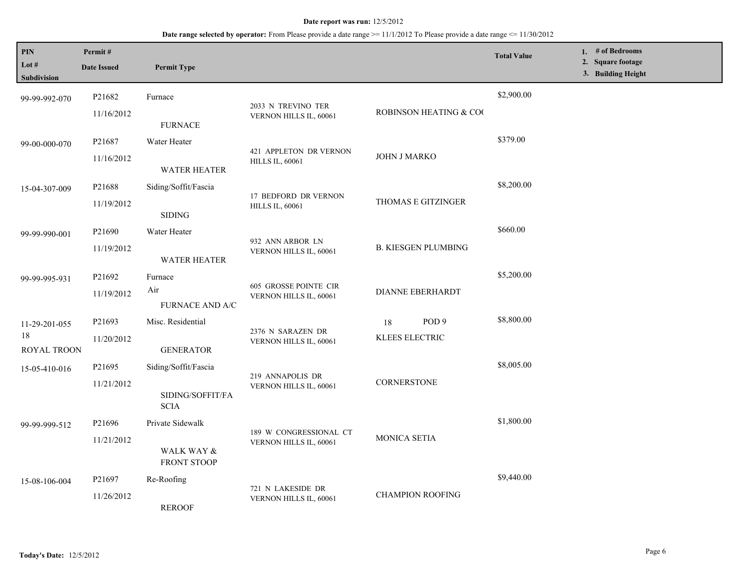| PIN<br>Lot #<br>Subdivision            | Permit#<br><b>Date Issued</b>    | <b>Permit Type</b>                                      |                                                        |                                          | <b>Total Value</b> | 1. # of Bedrooms<br>2. Square footage<br>3. Building Height |
|----------------------------------------|----------------------------------|---------------------------------------------------------|--------------------------------------------------------|------------------------------------------|--------------------|-------------------------------------------------------------|
| 99-99-992-070                          | P21682<br>11/16/2012             | Furnace<br><b>FURNACE</b>                               | 2033 N TREVINO TER<br>VERNON HILLS IL, 60061           | <b>ROBINSON HEATING &amp; COO</b>        | \$2,900.00         |                                                             |
| 99-00-000-070                          | P21687<br>11/16/2012             | Water Heater<br>WATER HEATER                            | 421 APPLETON DR VERNON<br><b>HILLS IL, 60061</b>       | JOHN J MARKO                             | \$379.00           |                                                             |
| 15-04-307-009                          | P21688<br>11/19/2012             | Siding/Soffit/Fascia<br><b>SIDING</b>                   | 17 BEDFORD DR VERNON<br><b>HILLS IL, 60061</b>         | THOMAS E GITZINGER                       | \$8,200.00         |                                                             |
| 99-99-990-001                          | P <sub>21690</sub><br>11/19/2012 | Water Heater<br><b>WATER HEATER</b>                     | 932 ANN ARBOR LN<br>VERNON HILLS IL, 60061             | <b>B. KIESGEN PLUMBING</b>               | \$660.00           |                                                             |
| 99-99-995-931                          | P21692<br>11/19/2012             | Furnace<br>Air<br>FURNACE AND A/C                       | <b>605 GROSSE POINTE CIR</b><br>VERNON HILLS IL, 60061 | <b>DIANNE EBERHARDT</b>                  | \$5,200.00         |                                                             |
| 11-29-201-055<br>$18\,$<br>ROYAL TROON | P21693<br>11/20/2012             | Misc. Residential<br><b>GENERATOR</b>                   | 2376 N SARAZEN DR<br>VERNON HILLS IL, 60061            | POD <sub>9</sub><br>18<br>KLEES ELECTRIC | \$8,800.00         |                                                             |
| 15-05-410-016                          | P21695<br>11/21/2012             | Siding/Soffit/Fascia<br>SIDING/SOFFIT/FA<br><b>SCIA</b> | 219 ANNAPOLIS DR<br>VERNON HILLS IL, 60061             | CORNERSTONE                              | \$8,005.00         |                                                             |
| 99-99-999-512                          | P21696<br>11/21/2012             | Private Sidewalk<br>WALK WAY &<br><b>FRONT STOOP</b>    | 189 W CONGRESSIONAL CT<br>VERNON HILLS IL, 60061       | MONICA SETIA                             | \$1,800.00         |                                                             |
| 15-08-106-004                          | P21697<br>11/26/2012             | Re-Roofing<br><b>REROOF</b>                             | 721 N LAKESIDE DR<br>VERNON HILLS IL, 60061            | <b>CHAMPION ROOFING</b>                  | \$9,440.00         |                                                             |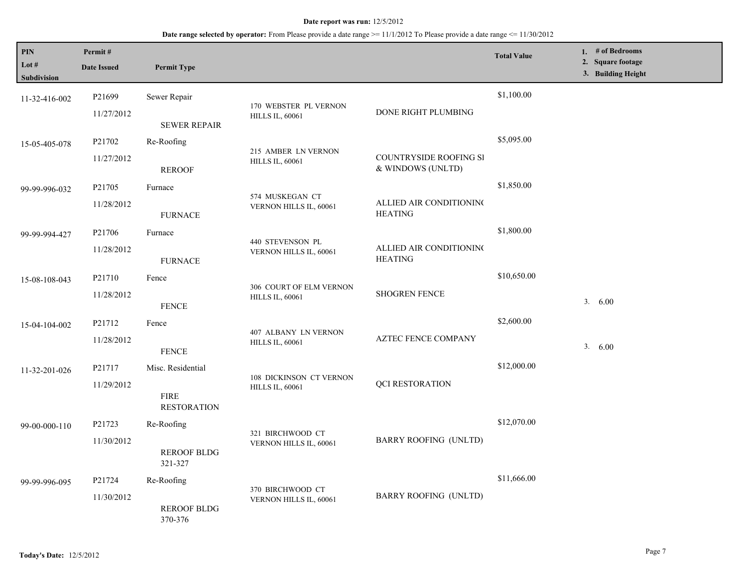| PIN<br>Lot #<br>Subdivision | Permit#<br><b>Date Issued</b> | <b>Permit Type</b>                |                                                   |                                                    | <b>Total Value</b> | 1. # of Bedrooms<br>2. Square footage<br>3. Building Height |
|-----------------------------|-------------------------------|-----------------------------------|---------------------------------------------------|----------------------------------------------------|--------------------|-------------------------------------------------------------|
| 11-32-416-002               | P21699                        | Sewer Repair                      |                                                   |                                                    | \$1,100.00         |                                                             |
|                             | 11/27/2012                    | <b>SEWER REPAIR</b>               | 170 WEBSTER PL VERNON<br><b>HILLS IL, 60061</b>   | DONE RIGHT PLUMBING                                |                    |                                                             |
| 15-05-405-078               | P21702                        | Re-Roofing                        |                                                   |                                                    | \$5,095.00         |                                                             |
|                             | 11/27/2012                    | <b>REROOF</b>                     | 215 AMBER LN VERNON<br><b>HILLS IL, 60061</b>     | <b>COUNTRYSIDE ROOFING SI</b><br>& WINDOWS (UNLTD) |                    |                                                             |
| 99-99-996-032               | P21705                        | Furnace                           |                                                   |                                                    | \$1,850.00         |                                                             |
|                             | 11/28/2012                    | <b>FURNACE</b>                    | 574 MUSKEGAN CT<br>VERNON HILLS IL, 60061         | ALLIED AIR CONDITIONING<br><b>HEATING</b>          |                    |                                                             |
| 99-99-994-427               | P <sub>21706</sub>            | Furnace                           |                                                   |                                                    | \$1,800.00         |                                                             |
|                             | 11/28/2012                    | <b>FURNACE</b>                    | 440 STEVENSON PL<br>VERNON HILLS IL, 60061        | ALLIED AIR CONDITIONING<br><b>HEATING</b>          |                    |                                                             |
| 15-08-108-043               | P21710                        | Fence                             |                                                   |                                                    | \$10,650.00        |                                                             |
|                             | 11/28/2012                    | <b>FENCE</b>                      | 306 COURT OF ELM VERNON<br><b>HILLS IL, 60061</b> | <b>SHOGREN FENCE</b>                               |                    | 3. 6.00                                                     |
| 15-04-104-002               | P21712                        | Fence                             |                                                   |                                                    | \$2,600.00         |                                                             |
|                             | 11/28/2012                    | <b>FENCE</b>                      | 407 ALBANY LN VERNON<br><b>HILLS IL, 60061</b>    | <b>AZTEC FENCE COMPANY</b>                         |                    | 3. 6.00                                                     |
| 11-32-201-026               | P21717                        | Misc. Residential                 | 108 DICKINSON CT VERNON<br><b>HILLS IL, 60061</b> | <b>QCI RESTORATION</b>                             | \$12,000.00        |                                                             |
|                             | 11/29/2012                    | <b>FIRE</b><br><b>RESTORATION</b> |                                                   |                                                    |                    |                                                             |
| 99-00-000-110               | P21723                        | Re-Roofing                        |                                                   |                                                    | \$12,070.00        |                                                             |
|                             | 11/30/2012                    | <b>REROOF BLDG</b><br>321-327     | 321 BIRCHWOOD CT<br>VERNON HILLS IL, 60061        | <b>BARRY ROOFING (UNLTD)</b>                       |                    |                                                             |
| 99-99-996-095               | P21724                        | Re-Roofing                        |                                                   |                                                    | \$11,666.00        |                                                             |
|                             | 11/30/2012                    | <b>REROOF BLDG</b><br>370-376     | 370 BIRCHWOOD CT<br>VERNON HILLS IL, 60061        | <b>BARRY ROOFING (UNLTD)</b>                       |                    |                                                             |